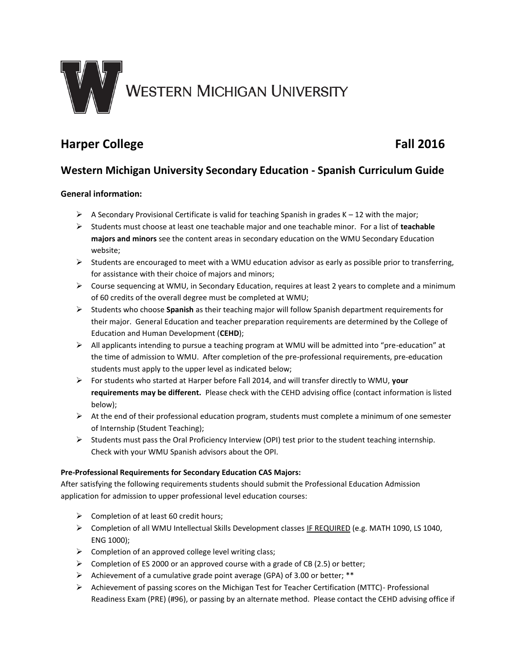

# **Harper College Fall 2016**

# **Western Michigan University Secondary Education - Spanish Curriculum Guide**

## **General information:**

- $\triangleright$  A Secondary Provisional Certificate is valid for teaching Spanish in grades K 12 with the major;
- Students must choose at least one teachable major and one teachable minor. For a list of **teachable majors and minors** see the content areas in secondary education on the WMU Secondary Education website;
- $\triangleright$  Students are encouraged to meet with a WMU education advisor as early as possible prior to transferring, for assistance with their choice of majors and minors;
- $\triangleright$  Course sequencing at WMU, in Secondary Education, requires at least 2 years to complete and a minimum of 60 credits of the overall degree must be completed at WMU;
- Students who choose **Spanish** as their teaching major will follow Spanish department requirements for their major. General Education and teacher preparation requirements are determined by the College of Education and Human Development (**CEHD**);
- $\triangleright$  All applicants intending to pursue a teaching program at WMU will be admitted into "pre-education" at the time of admission to WMU. After completion of the pre-professional requirements, pre-education students must apply to the upper level as indicated below;
- For students who started at Harper before Fall 2014, and will transfer directly to WMU, **your requirements may be different.** Please check with the CEHD advising office (contact information is listed below);
- $\triangleright$  At the end of their professional education program, students must complete a minimum of one semester of Internship (Student Teaching);
- $\triangleright$  Students must pass the Oral Proficiency Interview (OPI) test prior to the student teaching internship. Check with your WMU Spanish advisors about the OPI.

## **Pre-Professional Requirements for Secondary Education CAS Majors:**

After satisfying the following requirements students should submit the Professional Education Admission application for admission to upper professional level education courses:

- $\triangleright$  Completion of at least 60 credit hours;
- Completion of all WMU Intellectual Skills Development classes IF REQUIRED (e.g. MATH 1090, LS 1040, ENG 1000);
- $\triangleright$  Completion of an approved college level writing class;
- $\triangleright$  Completion of ES 2000 or an approved course with a grade of CB (2.5) or better;
- Achievement of a cumulative grade point average (GPA) of 3.00 or better; \*\*
- $\triangleright$  Achievement of passing scores on the Michigan Test for Teacher Certification (MTTC) Professional Readiness Exam (PRE) (#96), or passing by an alternate method. Please contact the CEHD advising office if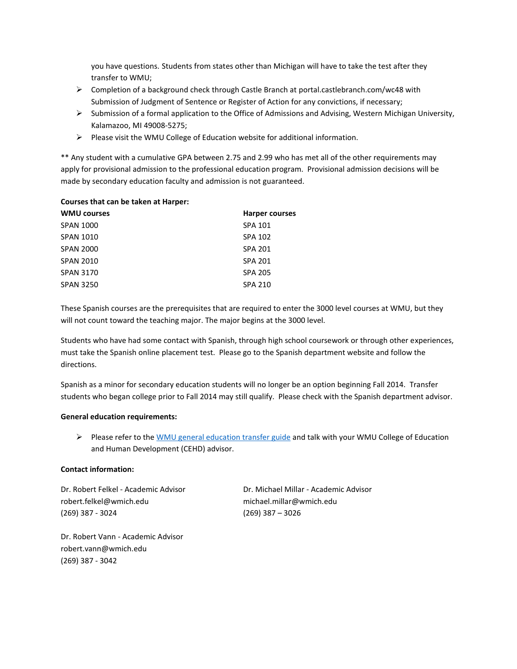you have questions. Students from states other than Michigan will have to take the test after they transfer to WMU;

- ▶ Completion of a background check through Castle Branch at portal.castlebranch.com/wc48 with Submission of Judgment of Sentence or Register of Action for any convictions, if necessary;
- $\triangleright$  Submission of a formal application to the Office of Admissions and Advising, Western Michigan University, Kalamazoo, MI 49008-5275;
- $\triangleright$  Please visit the WMU College of Education website for additional information.

\*\* Any student with a cumulative GPA between 2.75 and 2.99 who has met all of the other requirements may apply for provisional admission to the professional education program. Provisional admission decisions will be made by secondary education faculty and admission is not guaranteed.

#### **Courses that can be taken at Harper:**

| <b>WMU courses</b> | <b>Harper courses</b> |
|--------------------|-----------------------|
| <b>SPAN 1000</b>   | SPA 101               |
| <b>SPAN 1010</b>   | SPA 102               |
| <b>SPAN 2000</b>   | <b>SPA 201</b>        |
| <b>SPAN 2010</b>   | <b>SPA 201</b>        |
| <b>SPAN 3170</b>   | <b>SPA 205</b>        |
| <b>SPAN 3250</b>   | <b>SPA 210</b>        |
|                    |                       |

These Spanish courses are the prerequisites that are required to enter the 3000 level courses at WMU, but they will not count toward the teaching major. The major begins at the 3000 level.

Students who have had some contact with Spanish, through high school coursework or through other experiences, must take the Spanish online placement test. Please go to the Spanish department website and follow the directions.

Spanish as a minor for secondary education students will no longer be an option beginning Fall 2014. Transfer students who began college prior to Fall 2014 may still qualify. Please check with the Spanish department advisor.

#### **General education requirements:**

Please refer to the [WMU general education transfer guide](http://www.wmich.edu/admissions/transfer/guides/Harper/gened/) and talk with your WMU College of Education and Human Development (CEHD) advisor.

### **Contact information:**

Dr. Robert Felkel - Academic Advisor Dr. Michael Millar - Academic Advisor robert.felkel@wmich.edu michael.millar@wmich.edu (269) 387 - 3024 (269) 387 – 3026

Dr. Robert Vann - Academic Advisor robert.vann@wmich.edu (269) 387 - 3042